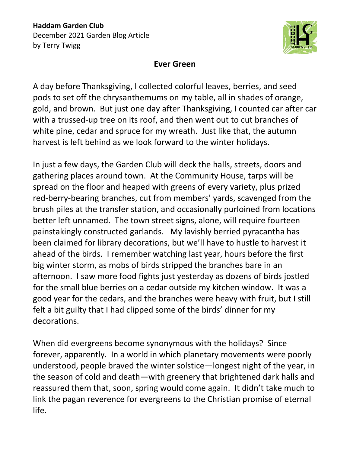

## **Ever Green**

A day before Thanksgiving, I collected colorful leaves, berries, and seed pods to set off the chrysanthemums on my table, all in shades of orange, gold, and brown. But just one day after Thanksgiving, I counted car after car with a trussed-up tree on its roof, and then went out to cut branches of white pine, cedar and spruce for my wreath. Just like that, the autumn harvest is left behind as we look forward to the winter holidays.

In just a few days, the Garden Club will deck the halls, streets, doors and gathering places around town. At the Community House, tarps will be spread on the floor and heaped with greens of every variety, plus prized red-berry-bearing branches, cut from members' yards, scavenged from the brush piles at the transfer station, and occasionally purloined from locations better left unnamed. The town street signs, alone, will require fourteen painstakingly constructed garlands. My lavishly berried pyracantha has been claimed for library decorations, but we'll have to hustle to harvest it ahead of the birds. I remember watching last year, hours before the first big winter storm, as mobs of birds stripped the branches bare in an afternoon. I saw more food fights just yesterday as dozens of birds jostled for the small blue berries on a cedar outside my kitchen window. It was a good year for the cedars, and the branches were heavy with fruit, but I still felt a bit guilty that I had clipped some of the birds' dinner for my decorations.

When did evergreens become synonymous with the holidays? Since forever, apparently. In a world in which planetary movements were poorly understood, people braved the winter solstice—longest night of the year, in the season of cold and death—with greenery that brightened dark halls and reassured them that, soon, spring would come again. It didn't take much to link the pagan reverence for evergreens to the Christian promise of eternal life.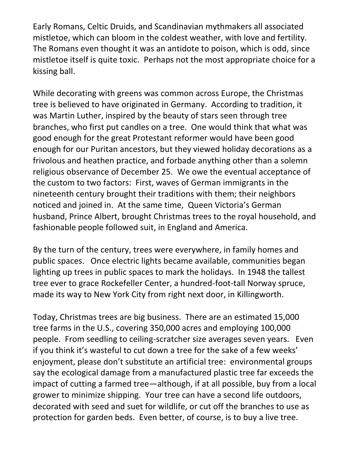Early Romans, Celtic Druids, and Scandinavian mythmakers all associated mistletoe, which can bloom in the coldest weather, with love and fertility. The Romans even thought it was an antidote to poison, which is odd, since mistletoe itself is quite toxic. Perhaps not the most appropriate choice for a kissing ball.

While decorating with greens was common across Europe, the Christmas tree is believed to have originated in Germany. According to tradition, it was Martin Luther, inspired by the beauty of stars seen through tree branches, who first put candles on a tree. One would think that what was good enough for the great Protestant reformer would have been good enough for our Puritan ancestors, but they viewed holiday decorations as a frivolous and heathen practice, and forbade anything other than a solemn religious observance of December 25. We owe the eventual acceptance of the custom to two factors: First, waves of German immigrants in the nineteenth century brought their traditions with them; their neighbors noticed and joined in. At the same time, Queen Victoria's German husband, Prince Albert, brought Christmas trees to the royal household, and fashionable people followed suit, in England and America.

By the turn of the century, trees were everywhere, in family homes and public spaces. Once electric lights became available, communities began lighting up trees in public spaces to mark the holidays. In 1948 the tallest tree ever to grace Rockefeller Center, a hundred-foot-tall Norway spruce, made its way to New York City from right next door, in Killingworth.

Today, Christmas trees are big business. There are an estimated 15,000 tree farms in the U.S., covering 350,000 acres and employing 100,000 people. From seedling to ceiling-scratcher size averages seven years. Even if you think it's wasteful to cut down a tree for the sake of a few weeks' enjoyment, please don't substitute an artificial tree: environmental groups say the ecological damage from a manufactured plastic tree far exceeds the impact of cutting a farmed tree—although, if at all possible, buy from a local grower to minimize shipping. Your tree can have a second life outdoors, decorated with seed and suet for wildlife, or cut off the branches to use as protection for garden beds. Even better, of course, is to buy a live tree.